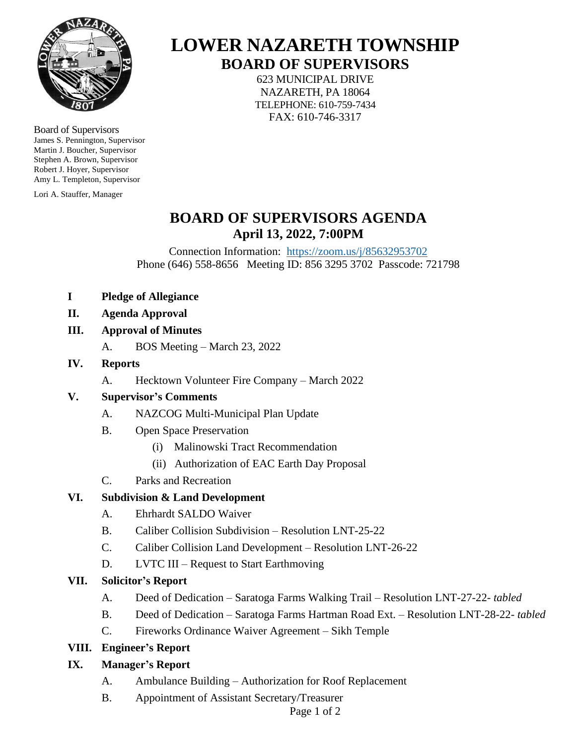

Board of Supervisors James S. Pennington, Supervisor Martin J. Boucher, Supervisor Stephen A. Brown, Supervisor Robert J. Hoyer, Supervisor Amy L. Templeton, Supervisor

Lori A. Stauffer, Manager

# **LOWER NAZARETH TOWNSHIP BOARD OF SUPERVISORS**

623 MUNICIPAL DRIVE NAZARETH, PA 18064 TELEPHONE: 610-759-7434 FAX: 610-746-3317

### **BOARD OF SUPERVISORS AGENDA April 13, 2022, 7:00PM**

Connection Information: <https://zoom.us/j/85632953702> Phone (646) 558-8656 Meeting ID: 856 3295 3702 Passcode: 721798

- **I Pledge of Allegiance**
- **II. Agenda Approval**

#### **III. Approval of Minutes**

- A. BOS Meeting March 23, 2022
- **IV. Reports**
	- A. Hecktown Volunteer Fire Company March 2022

#### **V. Supervisor's Comments**

- A. NAZCOG Multi-Municipal Plan Update
- B. Open Space Preservation
	- (i) Malinowski Tract Recommendation
	- (ii) Authorization of EAC Earth Day Proposal
- C. Parks and Recreation

#### **VI. Subdivision & Land Development**

- A. Ehrhardt SALDO Waiver
- B. Caliber Collision Subdivision Resolution LNT-25-22
- C. Caliber Collision Land Development Resolution LNT-26-22
- D. LVTC III Request to Start Earthmoving

#### **VII. Solicitor's Report**

- A. Deed of Dedication Saratoga Farms Walking Trail Resolution LNT-27-22*- tabled*
- B. Deed of Dedication Saratoga Farms Hartman Road Ext. Resolution LNT-28-22*- tabled*
- C. Fireworks Ordinance Waiver Agreement Sikh Temple

#### **VIII. Engineer's Report**

#### **IX. Manager's Report**

- A. Ambulance Building Authorization for Roof Replacement
- B. Appointment of Assistant Secretary/Treasurer

Page 1 of 2